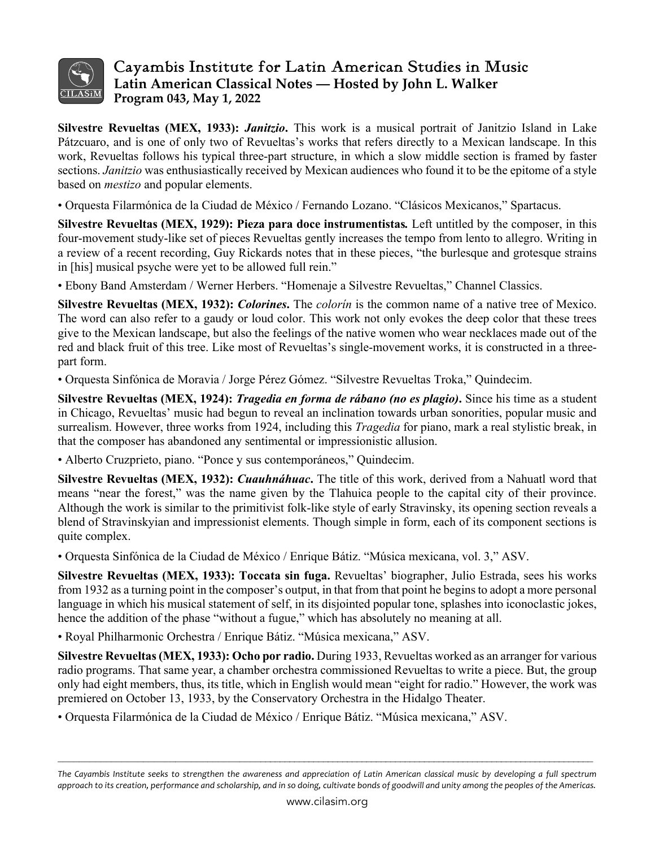

## Cayambis Institute for Latin American Studies in Music **Latin American Classical Notes — Hosted by John L. Walker Program 043, May 1, 2022**

**Silvestre Revueltas (MEX, 1933):** *Janitzio***.** This work is a musical portrait of Janitzio Island in Lake Pátzcuaro, and is one of only two of Revueltas's works that refers directly to a Mexican landscape. In this work, Revueltas follows his typical three-part structure, in which a slow middle section is framed by faster sections. *Janitzio* was enthusiastically received by Mexican audiences who found it to be the epitome of a style based on *mestizo* and popular elements.

• Orquesta Filarmónica de la Ciudad de México / Fernando Lozano. "Clásicos Mexicanos," Spartacus.

**Silvestre Revueltas (MEX, 1929): Pieza para doce instrumentistas***.* Left untitled by the composer, in this four-movement study-like set of pieces Revueltas gently increases the tempo from lento to allegro. Writing in a review of a recent recording, Guy Rickards notes that in these pieces, "the burlesque and grotesque strains in [his] musical psyche were yet to be allowed full rein."

• Ebony Band Amsterdam / Werner Herbers. "Homenaje a Silvestre Revueltas," Channel Classics.

**Silvestre Revueltas (MEX, 1932):** *Colorines***.** The *colorín* is the common name of a native tree of Mexico. The word can also refer to a gaudy or loud color. This work not only evokes the deep color that these trees give to the Mexican landscape, but also the feelings of the native women who wear necklaces made out of the red and black fruit of this tree. Like most of Revueltas's single-movement works, it is constructed in a threepart form.

• Orquesta Sinfónica de Moravia / Jorge Pérez Gómez. "Silvestre Revueltas Troka," Quindecim.

**Silvestre Revueltas (MEX, 1924):** *Tragedia en forma de rábano (no es plagio)***.** Since his time as a student in Chicago, Revueltas' music had begun to reveal an inclination towards urban sonorities, popular music and surrealism. However, three works from 1924, including this *Tragedia* for piano, mark a real stylistic break, in that the composer has abandoned any sentimental or impressionistic allusion.

• Alberto Cruzprieto, piano. "Ponce y sus contemporáneos," Quindecim.

**Silvestre Revueltas (MEX, 1932):** *Cuauhnáhuac***.** The title of this work, derived from a Nahuatl word that means "near the forest," was the name given by the Tlahuica people to the capital city of their province. Although the work is similar to the primitivist folk-like style of early Stravinsky, its opening section reveals a blend of Stravinskyian and impressionist elements. Though simple in form, each of its component sections is quite complex.

• Orquesta Sinfónica de la Ciudad de México / Enrique Bátiz. "Música mexicana, vol. 3," ASV.

**Silvestre Revueltas (MEX, 1933): Toccata sin fuga.** Revueltas' biographer, Julio Estrada, sees his works from 1932 as a turning point in the composer's output, in that from that point he begins to adopt a more personal language in which his musical statement of self, in its disjointed popular tone, splashes into iconoclastic jokes, hence the addition of the phase "without a fugue," which has absolutely no meaning at all.

• Royal Philharmonic Orchestra / Enrique Bátiz. "Música mexicana," ASV.

**Silvestre Revueltas(MEX, 1933): Ocho por radio.** During 1933, Revueltas worked as an arranger for various radio programs. That same year, a chamber orchestra commissioned Revueltas to write a piece. But, the group only had eight members, thus, its title, which in English would mean "eight for radio." However, the work was premiered on October 13, 1933, by the Conservatory Orchestra in the Hidalgo Theater.

• Orquesta Filarmónica de la Ciudad de México / Enrique Bátiz. "Música mexicana," ASV.

 $\mathcal{L}_\mathcal{L} = \mathcal{L}_\mathcal{L} = \mathcal{L}_\mathcal{L} = \mathcal{L}_\mathcal{L} = \mathcal{L}_\mathcal{L} = \mathcal{L}_\mathcal{L} = \mathcal{L}_\mathcal{L} = \mathcal{L}_\mathcal{L} = \mathcal{L}_\mathcal{L} = \mathcal{L}_\mathcal{L} = \mathcal{L}_\mathcal{L} = \mathcal{L}_\mathcal{L} = \mathcal{L}_\mathcal{L} = \mathcal{L}_\mathcal{L} = \mathcal{L}_\mathcal{L} = \mathcal{L}_\mathcal{L} = \mathcal{L}_\mathcal{L}$ 

*The Cayambis Institute seeks to strengthen the awareness and appreciation of Latin American classical music by developing a full spectrum approach to its creation, performance and scholarship, and in so doing, cultivate bonds of goodwill and unity among the peoples of the Americas.*